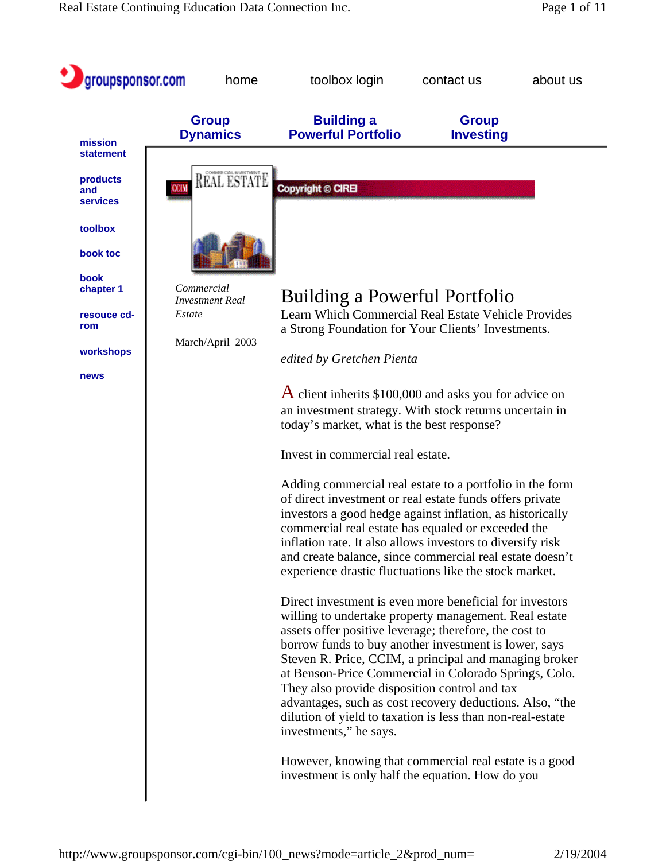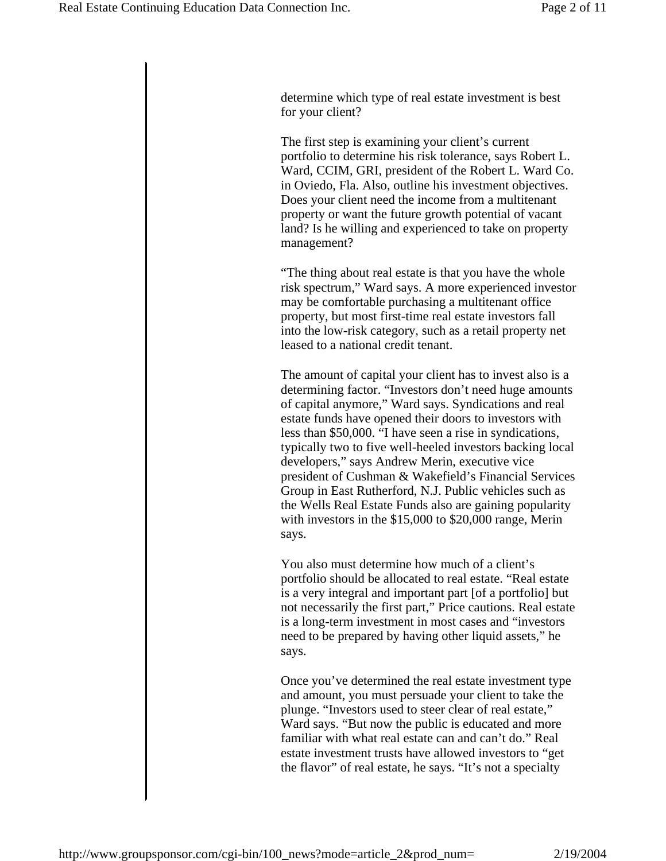determine which type of real estate investment is best for your client?

The first step is examining your client's current portfolio to determine his risk tolerance, says Robert L. Ward, CCIM, GRI, president of the Robert L. Ward Co. in Oviedo, Fla. Also, outline his investment objectives. Does your client need the income from a multitenant property or want the future growth potential of vacant land? Is he willing and experienced to take on property management?

"The thing about real estate is that you have the whole risk spectrum," Ward says. A more experienced investor may be comfortable purchasing a multitenant office property, but most first-time real estate investors fall into the low-risk category, such as a retail property net leased to a national credit tenant.

The amount of capital your client has to invest also is a determining factor. "Investors don't need huge amounts of capital anymore," Ward says. Syndications and real estate funds have opened their doors to investors with less than \$50,000. "I have seen a rise in syndications, typically two to five well-heeled investors backing local developers," says Andrew Merin, executive vice president of Cushman & Wakefield's Financial Services Group in East Rutherford, N.J. Public vehicles such as the Wells Real Estate Funds also are gaining popularity with investors in the \$15,000 to \$20,000 range, Merin says.

You also must determine how much of a client's portfolio should be allocated to real estate. "Real estate is a very integral and important part [of a portfolio] but not necessarily the first part," Price cautions. Real estate is a long-term investment in most cases and "investors need to be prepared by having other liquid assets," he says.

Once you've determined the real estate investment type and amount, you must persuade your client to take the plunge. "Investors used to steer clear of real estate," Ward says. "But now the public is educated and more familiar with what real estate can and can't do." Real estate investment trusts have allowed investors to "get the flavor" of real estate, he says. "It's not a specialty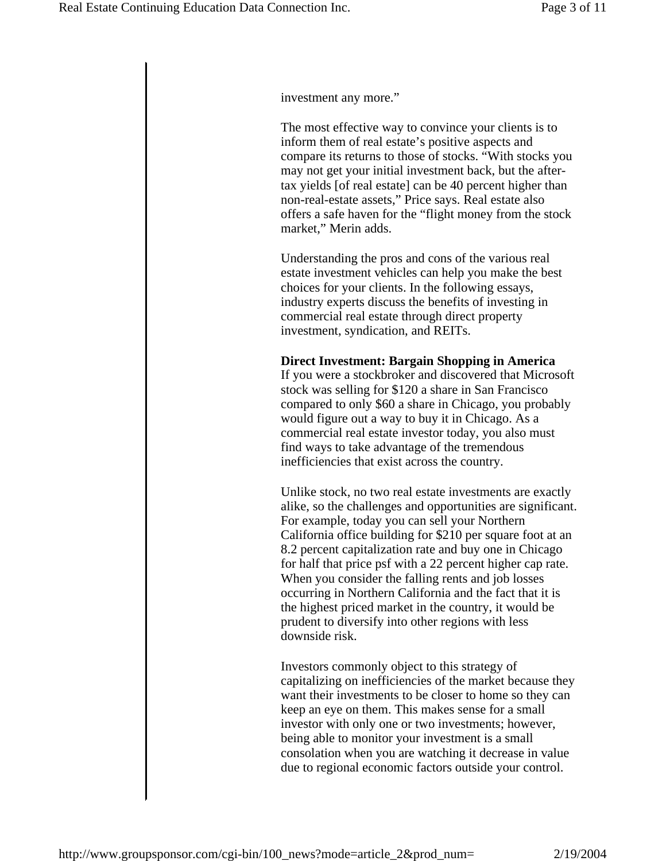investment any more."

The most effective way to convince your clients is to inform them of real estate's positive aspects and compare its returns to those of stocks. "With stocks you may not get your initial investment back, but the aftertax yields [of real estate] can be 40 percent higher than non-real-estate assets," Price says. Real estate also offers a safe haven for the "flight money from the stock market," Merin adds.

Understanding the pros and cons of the various real estate investment vehicles can help you make the best choices for your clients. In the following essays, industry experts discuss the benefits of investing in commercial real estate through direct property investment, syndication, and REITs.

#### **Direct Investment: Bargain Shopping in America**

If you were a stockbroker and discovered that Microsoft stock was selling for \$120 a share in San Francisco compared to only \$60 a share in Chicago, you probably would figure out a way to buy it in Chicago. As a commercial real estate investor today, you also must find ways to take advantage of the tremendous inefficiencies that exist across the country.

Unlike stock, no two real estate investments are exactly alike, so the challenges and opportunities are significant. For example, today you can sell your Northern California office building for \$210 per square foot at an 8.2 percent capitalization rate and buy one in Chicago for half that price psf with a 22 percent higher cap rate. When you consider the falling rents and job losses occurring in Northern California and the fact that it is the highest priced market in the country, it would be prudent to diversify into other regions with less downside risk.

Investors commonly object to this strategy of capitalizing on inefficiencies of the market because they want their investments to be closer to home so they can keep an eye on them. This makes sense for a small investor with only one or two investments; however, being able to monitor your investment is a small consolation when you are watching it decrease in value due to regional economic factors outside your control.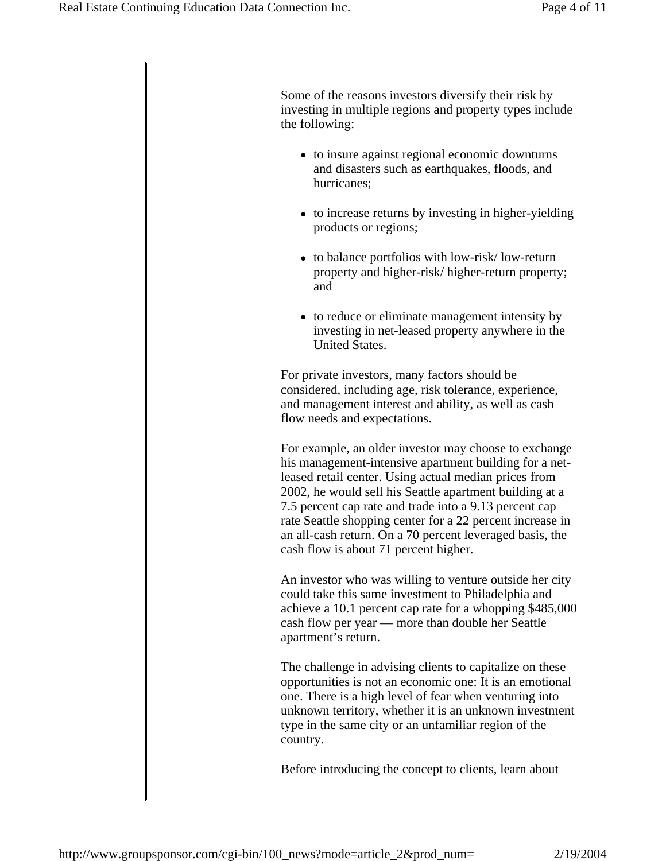Some of the reasons investors diversify their risk by investing in multiple regions and property types include the following:

- to insure against regional economic downturns and disasters such as earthquakes, floods, and hurricanes;
- to increase returns by investing in higher-yielding products or regions;
- to balance portfolios with low-risk/low-return property and higher-risk/ higher-return property; and
- to reduce or eliminate management intensity by investing in net-leased property anywhere in the United States.

For private investors, many factors should be considered, including age, risk tolerance, experience, and management interest and ability, as well as cash flow needs and expectations.

For example, an older investor may choose to exchange his management-intensive apartment building for a netleased retail center. Using actual median prices from 2002, he would sell his Seattle apartment building at a 7.5 percent cap rate and trade into a 9.13 percent cap rate Seattle shopping center for a 22 percent increase in an all-cash return. On a 70 percent leveraged basis, the cash flow is about 71 percent higher.

An investor who was willing to venture outside her city could take this same investment to Philadelphia and achieve a 10.1 percent cap rate for a whopping \$485,000 cash flow per year — more than double her Seattle apartment's return.

The challenge in advising clients to capitalize on these opportunities is not an economic one: It is an emotional one. There is a high level of fear when venturing into unknown territory, whether it is an unknown investment type in the same city or an unfamiliar region of the country.

Before introducing the concept to clients, learn about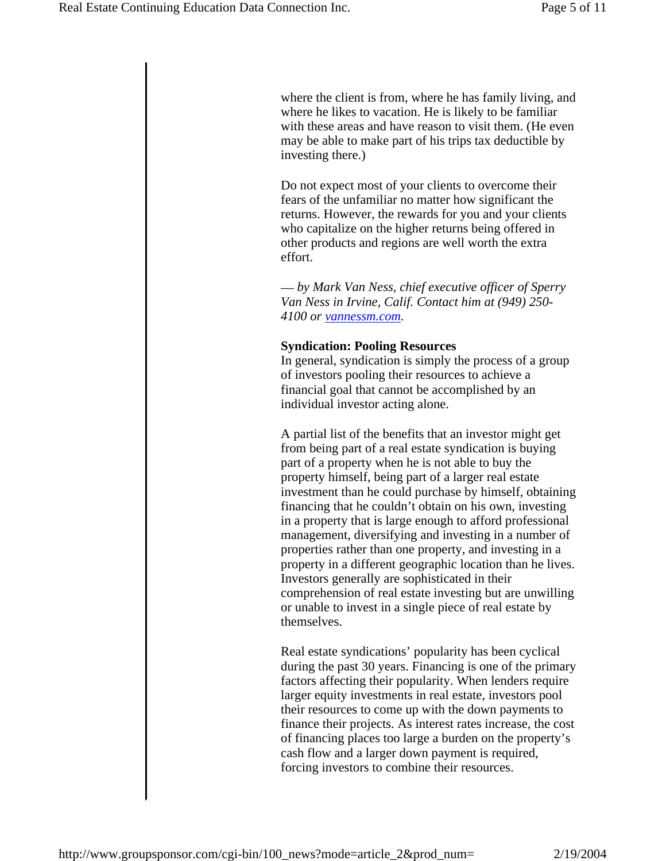where the client is from, where he has family living, and where he likes to vacation. He is likely to be familiar with these areas and have reason to visit them. (He even may be able to make part of his trips tax deductible by investing there.)

Do not expect most of your clients to overcome their fears of the unfamiliar no matter how significant the returns. However, the rewards for you and your clients who capitalize on the higher returns being offered in other products and regions are well worth the extra effort.

— *by Mark Van Ness, chief executive officer of Sperry Van Ness in Irvine, Calif. Contact him at (949) 250- 4100 or vannessm.com.*

#### **Syndication: Pooling Resources**

In general, syndication is simply the process of a group of investors pooling their resources to achieve a financial goal that cannot be accomplished by an individual investor acting alone.

A partial list of the benefits that an investor might get from being part of a real estate syndication is buying part of a property when he is not able to buy the property himself, being part of a larger real estate investment than he could purchase by himself, obtaining financing that he couldn't obtain on his own, investing in a property that is large enough to afford professional management, diversifying and investing in a number of properties rather than one property, and investing in a property in a different geographic location than he lives. Investors generally are sophisticated in their comprehension of real estate investing but are unwilling or unable to invest in a single piece of real estate by themselves.

Real estate syndications' popularity has been cyclical during the past 30 years. Financing is one of the primary factors affecting their popularity. When lenders require larger equity investments in real estate, investors pool their resources to come up with the down payments to finance their projects. As interest rates increase, the cost of financing places too large a burden on the property's cash flow and a larger down payment is required, forcing investors to combine their resources.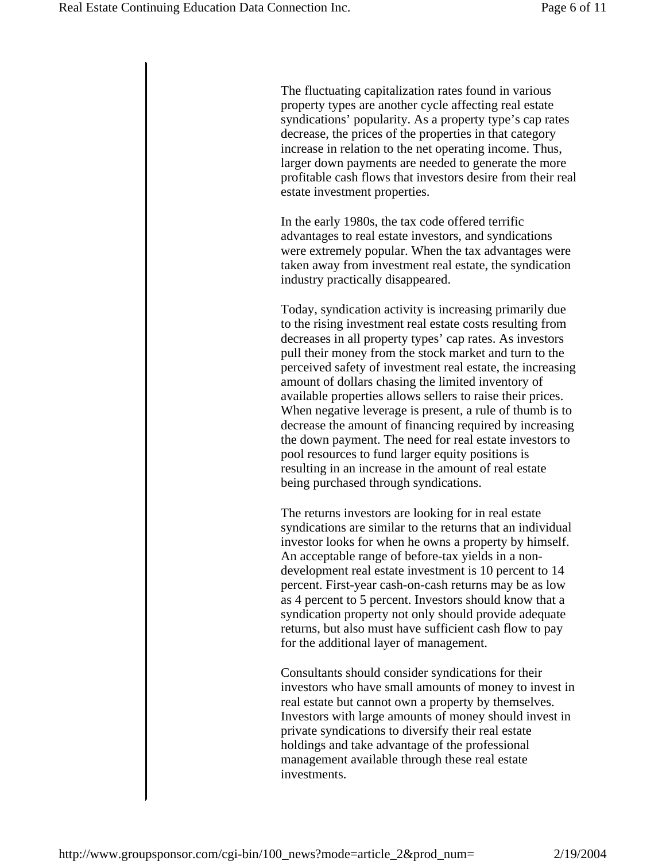The fluctuating capitalization rates found in various property types are another cycle affecting real estate syndications' popularity. As a property type's cap rates decrease, the prices of the properties in that category increase in relation to the net operating income. Thus, larger down payments are needed to generate the more profitable cash flows that investors desire from their real estate investment properties.

In the early 1980s, the tax code offered terrific advantages to real estate investors, and syndications were extremely popular. When the tax advantages were taken away from investment real estate, the syndication industry practically disappeared.

Today, syndication activity is increasing primarily due to the rising investment real estate costs resulting from decreases in all property types' cap rates. As investors pull their money from the stock market and turn to the perceived safety of investment real estate, the increasing amount of dollars chasing the limited inventory of available properties allows sellers to raise their prices. When negative leverage is present, a rule of thumb is to decrease the amount of financing required by increasing the down payment. The need for real estate investors to pool resources to fund larger equity positions is resulting in an increase in the amount of real estate being purchased through syndications.

The returns investors are looking for in real estate syndications are similar to the returns that an individual investor looks for when he owns a property by himself. An acceptable range of before-tax yields in a nondevelopment real estate investment is 10 percent to 14 percent. First-year cash-on-cash returns may be as low as 4 percent to 5 percent. Investors should know that a syndication property not only should provide adequate returns, but also must have sufficient cash flow to pay for the additional layer of management.

Consultants should consider syndications for their investors who have small amounts of money to invest in real estate but cannot own a property by themselves. Investors with large amounts of money should invest in private syndications to diversify their real estate holdings and take advantage of the professional management available through these real estate investments.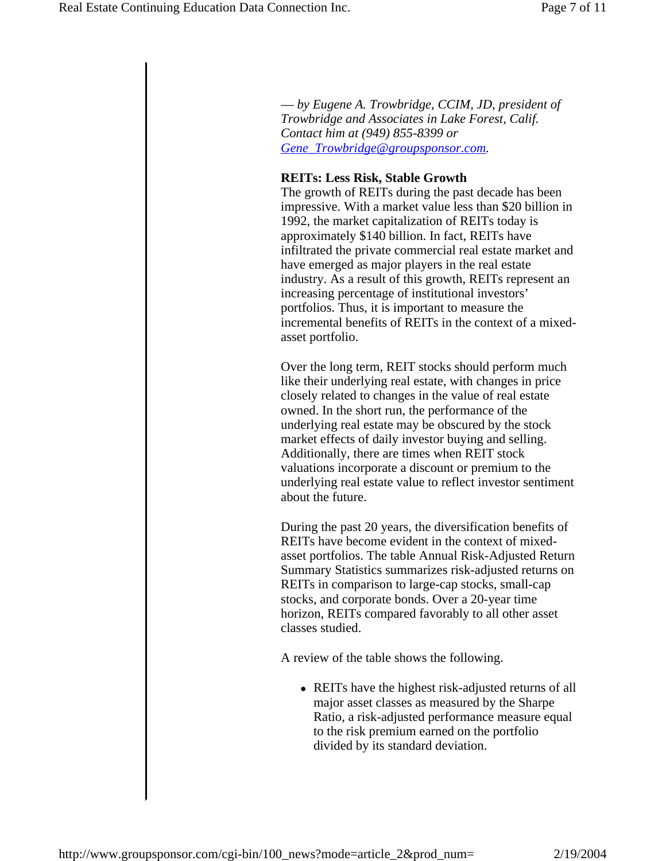— *by Eugene A. Trowbridge, CCIM, JD, president of Trowbridge and Associates in Lake Forest, Calif. Contact him at (949) 855-8399 or Gene\_Trowbridge@groupsponsor.com.*

### **REITs: Less Risk, Stable Growth**

The growth of REITs during the past decade has been impressive. With a market value less than \$20 billion in 1992, the market capitalization of REITs today is approximately \$140 billion. In fact, REITs have infiltrated the private commercial real estate market and have emerged as major players in the real estate industry. As a result of this growth, REITs represent an increasing percentage of institutional investors' portfolios. Thus, it is important to measure the incremental benefits of REITs in the context of a mixedasset portfolio.

Over the long term, REIT stocks should perform much like their underlying real estate, with changes in price closely related to changes in the value of real estate owned. In the short run, the performance of the underlying real estate may be obscured by the stock market effects of daily investor buying and selling. Additionally, there are times when REIT stock valuations incorporate a discount or premium to the underlying real estate value to reflect investor sentiment about the future.

During the past 20 years, the diversification benefits of REITs have become evident in the context of mixedasset portfolios. The table Annual Risk-Adjusted Return Summary Statistics summarizes risk-adjusted returns on REITs in comparison to large-cap stocks, small-cap stocks, and corporate bonds. Over a 20-year time horizon, REITs compared favorably to all other asset classes studied.

A review of the table shows the following.

• REITs have the highest risk-adjusted returns of all major asset classes as measured by the Sharpe Ratio, a risk-adjusted performance measure equal to the risk premium earned on the portfolio divided by its standard deviation.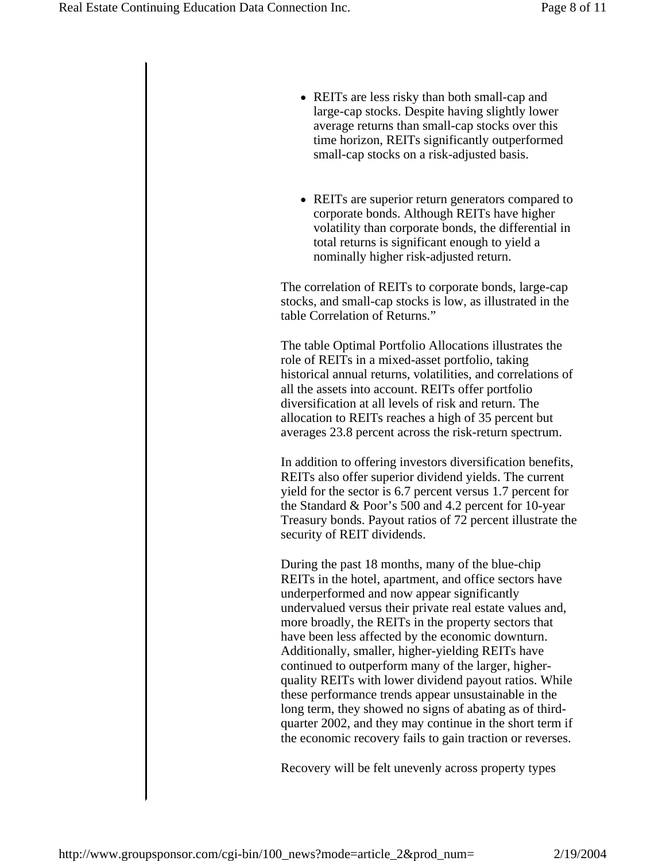- REITs are less risky than both small-cap and large-cap stocks. Despite having slightly lower average returns than small-cap stocks over this time horizon, REITs significantly outperformed small-cap stocks on a risk-adjusted basis.
- REITs are superior return generators compared to corporate bonds. Although REITs have higher volatility than corporate bonds, the differential in total returns is significant enough to yield a nominally higher risk-adjusted return.

The correlation of REITs to corporate bonds, large-cap stocks, and small-cap stocks is low, as illustrated in the table Correlation of Returns."

The table Optimal Portfolio Allocations illustrates the role of REITs in a mixed-asset portfolio, taking historical annual returns, volatilities, and correlations of all the assets into account. REITs offer portfolio diversification at all levels of risk and return. The allocation to REITs reaches a high of 35 percent but averages 23.8 percent across the risk-return spectrum.

In addition to offering investors diversification benefits, REITs also offer superior dividend yields. The current yield for the sector is 6.7 percent versus 1.7 percent for the Standard & Poor's 500 and 4.2 percent for 10-year Treasury bonds. Payout ratios of 72 percent illustrate the security of REIT dividends.

During the past 18 months, many of the blue-chip REITs in the hotel, apartment, and office sectors have underperformed and now appear significantly undervalued versus their private real estate values and, more broadly, the REITs in the property sectors that have been less affected by the economic downturn. Additionally, smaller, higher-yielding REITs have continued to outperform many of the larger, higherquality REITs with lower dividend payout ratios. While these performance trends appear unsustainable in the long term, they showed no signs of abating as of thirdquarter 2002, and they may continue in the short term if the economic recovery fails to gain traction or reverses.

Recovery will be felt unevenly across property types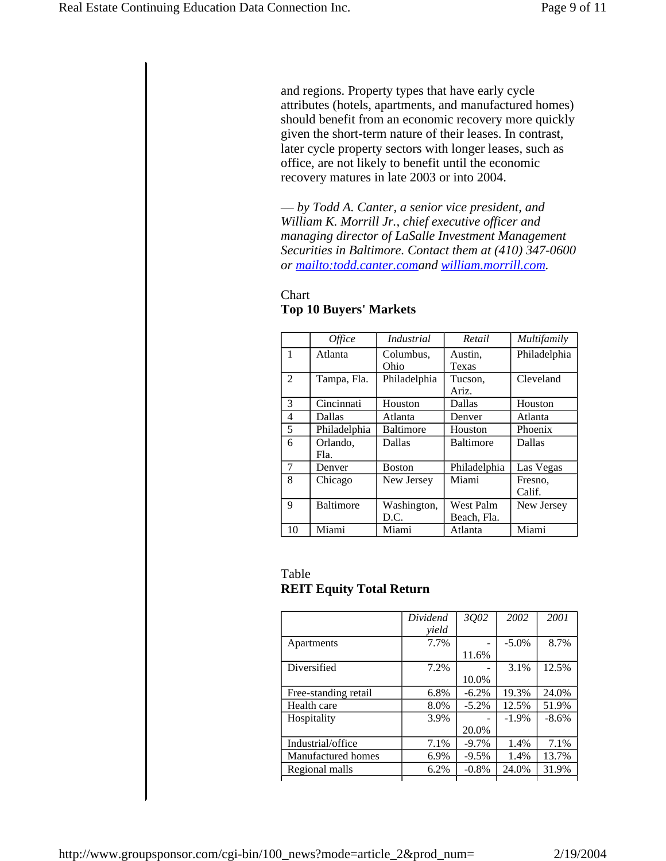and regions. Property types that have early cycle attributes (hotels, apartments, and manufactured homes) should benefit from an economic recovery more quickly given the short-term nature of their leases. In contrast, later cycle property sectors with longer leases, such as office, are not likely to benefit until the economic recovery matures in late 2003 or into 2004.

— *by Todd A. Canter, a senior vice president, and William K. Morrill Jr., chief executive officer and managing director of LaSalle Investment Management Securities in Baltimore. Contact them at (410) 347-0600 or mailto:todd.canter.comand william.morrill.com.*

|                | <i>Office</i>    | <i>Industrial</i> | Retail           | Multifamily  |
|----------------|------------------|-------------------|------------------|--------------|
| $\mathbf{1}$   | Atlanta          | Columbus,         | Austin,          | Philadelphia |
|                |                  | Ohio              | Texas            |              |
| $\mathfrak{D}$ | Tampa, Fla.      | Philadelphia      | Tucson.          | Cleveland    |
|                |                  |                   | Ariz.            |              |
| 3              | Cincinnati       | Houston           | Dallas           | Houston      |
| $\overline{4}$ | Dallas           | Atlanta           | Denver           | Atlanta      |
| 5              | Philadelphia     | <b>Baltimore</b>  | Houston          | Phoenix      |
| 6              | Orlando,         | Dallas            | <b>Baltimore</b> | Dallas       |
|                | Fla.             |                   |                  |              |
| 7              | Denver           | <b>Boston</b>     | Philadelphia     | Las Vegas    |
| 8              | Chicago          | New Jersey        | Miami            | Fresno.      |
|                |                  |                   |                  | Calif.       |
| 9              | <b>Baltimore</b> | Washington,       | West Palm        | New Jersey   |
|                |                  | D.C.              | Beach, Fla.      |              |
| 10             | Miami            | Miami             | Atlanta          | Miami        |

## Chart **Top 10 Buyers' Markets**

## Table **REIT Equity Total Return**

|                      | Dividend | 3Q02     | 2002     | 2001    |
|----------------------|----------|----------|----------|---------|
|                      | vield    |          |          |         |
| Apartments           | 7.7%     |          | $-5.0\%$ | 8.7%    |
|                      |          | 11.6%    |          |         |
| Diversified          | 7.2%     |          | 3.1%     | 12.5%   |
|                      |          | 10.0%    |          |         |
| Free-standing retail | 6.8%     | $-6.2\%$ | 19.3%    | 24.0%   |
| Health care          | 8.0%     | $-5.2\%$ | 12.5%    | 51.9%   |
| Hospitality          | 3.9%     |          | $-1.9%$  | $-8.6%$ |
|                      |          | 20.0%    |          |         |
| Industrial/office    | 7.1%     | $-9.7\%$ | 1.4%     | 7.1%    |
| Manufactured homes   | 6.9%     | $-9.5%$  | 1.4%     | 13.7%   |
| Regional malls       | 6.2%     | $-0.8\%$ | 24.0%    | 31.9%   |
|                      |          |          |          |         |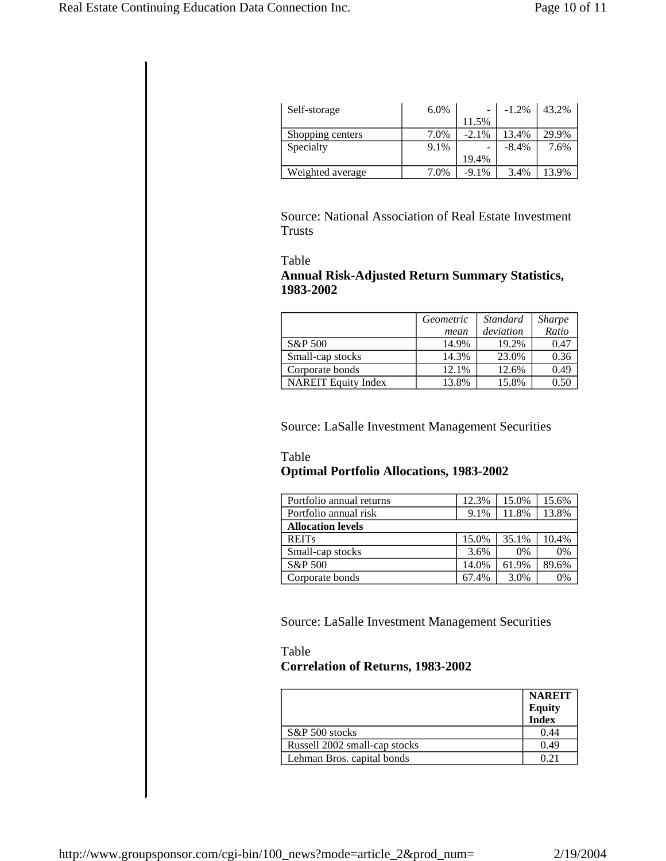| Self-storage     | 6.0% |                          | $-1.2%$  | 43.2% |
|------------------|------|--------------------------|----------|-------|
|                  |      | 11.5%                    |          |       |
| Shopping centers | 7.0% | $-2.1\%$                 | 13.4%    | 29.9% |
| Specialty        | 9.1% | $\overline{\phantom{0}}$ | $-8.4\%$ | 7.6%  |
|                  |      | 19.4%                    |          |       |
| Weighted average | 7.0% | $-9.1\%$                 | 3.4%     | 13.9% |

Source: National Association of Real Estate Investment Trusts

### Table **Annual Risk-Adjusted Return Summary Statistics, 1983-2002**

|                            | Geometric | <i>Standard</i> | <b>Sharpe</b> |
|----------------------------|-----------|-----------------|---------------|
|                            | mean      | deviation       | Ratio         |
| S&P 500                    | 14.9%     | 19.2%           | 0.47          |
| Small-cap stocks           | 14.3%     | 23.0%           | 0.36          |
| Corporate bonds            | 12.1%     | 12.6%           | 0.49          |
| <b>NAREIT Equity Index</b> | 13.8%     | 15.8%           | 0.50          |

Source: LaSalle Investment Management Securities

# Table **Optimal Portfolio Allocations, 1983-2002**

| Portfolio annual returns | 12.3% | 15.0% | 15.6% |  |
|--------------------------|-------|-------|-------|--|
| Portfolio annual risk    | 9.1%  | 11.8% | 13.8% |  |
| <b>Allocation levels</b> |       |       |       |  |
| <b>REITs</b>             | 15.0% | 35.1% | 10.4% |  |
| Small-cap stocks         | 3.6%  | $0\%$ | 0%    |  |
| S&P 500                  | 14.0% | 61.9% | 89.6% |  |
| Corporate bonds          | 67.4% | 3.0%  | 0%    |  |

Source: LaSalle Investment Management Securities

# Table **Correlation of Returns, 1983-2002**

|                               | <b>NAREIT</b><br><b>Equity</b><br>Index |
|-------------------------------|-----------------------------------------|
| S&P 500 stocks                | 0.44                                    |
| Russell 2002 small-cap stocks | 0.49                                    |
| Lehman Bros. capital bonds    | በ 21                                    |